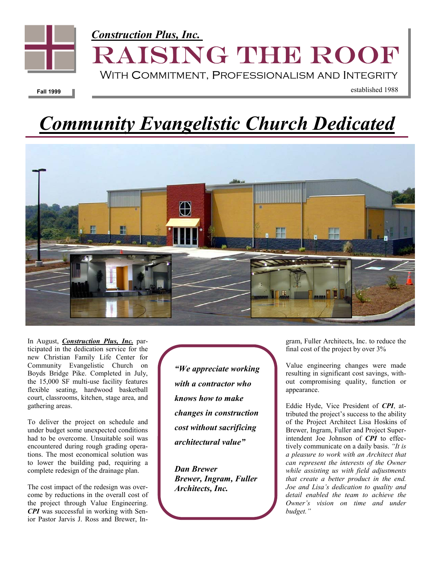

# *Community Evangelistic Church Dedicated*



In August, *Construction Plus, Inc.* participated in the dedication service for the new Christian Family Life Center for Community Evangelistic Church on Boyds Bridge Pike. Completed in July, the 15,000 SF multi-use facility features flexible seating, hardwood basketball court, classrooms, kitchen, stage area, and gathering areas.

To deliver the project on schedule and under budget some unexpected conditions had to be overcome. Unsuitable soil was encountered during rough grading operations. The most economical solution was to lower the building pad, requiring a complete redesign of the drainage plan.

The cost impact of the redesign was overcome by reductions in the overall cost of the project through Value Engineering. *CPI* was successful in working with Senior Pastor Jarvis J. Ross and Brewer, In*"We appreciate working with a contractor who knows how to make changes in construction cost without sacrificing architectural value"* 

*Dan Brewer Brewer, Ingram, Fuller Architects, Inc.* 

gram, Fuller Architects, Inc. to reduce the final cost of the project by over 3%

Value engineering changes were made resulting in significant cost savings, without compromising quality, function or appearance.

Eddie Hyde, Vice President of *CPI*, attributed the project's success to the ability of the Project Architect Lisa Hoskins of Brewer, Ingram, Fuller and Project Superintendent Joe Johnson of *CPI* to effectively communicate on a daily basis. *"It is a pleasure to work with an Architect that can represent the interests of the Owner while assisting us with field adjustments that create a better product in the end. Joe and Lisa's dedication to quality and detail enabled the team to achieve the Owner's vision on time and under budget."*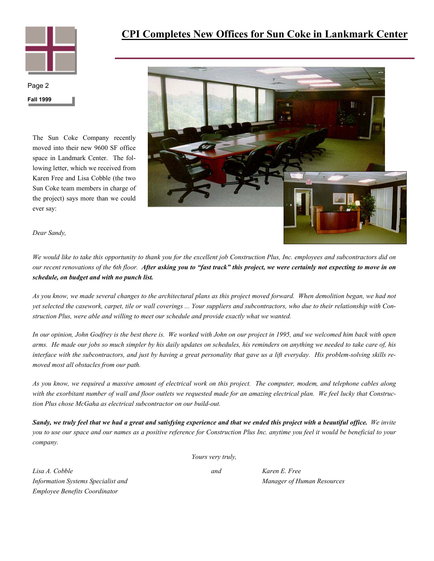

### **CPI Completes New Offices for Sun Coke in Lankmark Center**

**Fall 1999**  Page 2

> The Sun Coke Company recently moved into their new 9600 SF office space in Landmark Center. The following letter, which we received from Karen Free and Lisa Cobble (the two Sun Coke team members in charge of the project) says more than we could ever say:



*Dear Sandy,* 

*We would like to take this opportunity to thank you for the excellent job Construction Plus, Inc. employees and subcontractors did on our recent renovations of the 6th floor. After asking you to "fast track" this project, we were certainly not expecting to move in on schedule, on budget and with no punch list.*

*As you know, we made several changes to the architectural plans as this project moved forward. When demolition began, we had not yet selected the casework, carpet, tile or wall coverings ... Your suppliers and subcontractors, who due to their relationship with Construction Plus, were able and willing to meet our schedule and provide exactly what we wanted.* 

*In our opinion, John Godfrey is the best there is. We worked with John on our project in 1995, and we welcomed him back with open arms. He made our jobs so much simpler by his daily updates on schedules, his reminders on anything we needed to take care of, his interface with the subcontractors, and just by having a great personality that gave us a lift everyday. His problem-solving skills removed most all obstacles from our path.* 

*As you know, we required a massive amount of electrical work on this project. The computer, modem, and telephone cables along with the exorbitant number of wall and floor outlets we requested made for an amazing electrical plan. We feel lucky that Construction Plus chose McGaha as electrical subcontractor on our build-out.* 

*Sandy, we truly feel that we had a great and satisfying experience and that we ended this project with a beautiful office. We invite you to use our space and our names as a positive reference for Construction Plus Inc. anytime you feel it would be beneficial to your company.* 

*Yours very truly,* 

*Lisa A. Cobble and Karen E. Free Information Systems Specialist and* Manager of *Human Resources* **Manager of** *Human Resources Employee Benefits Coordinator*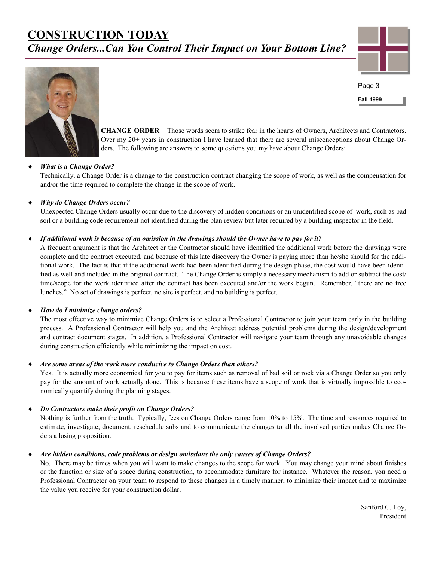## **CONSTRUCTION TODAY** *Change Orders...Can You Control Their Impact on Your Bottom Line?*



**Fall 1999**  Page 3



**CHANGE ORDER** – Those words seem to strike fear in the hearts of Owners, Architects and Contractors. Over my 20+ years in construction I have learned that there are several misconceptions about Change Orders. The following are answers to some questions you my have about Change Orders:

#### *What is a Change Order?*

Technically, a Change Order is a change to the construction contract changing the scope of work, as well as the compensation for and/or the time required to complete the change in the scope of work.

#### ♦ *Why do Change Orders occur?*

Unexpected Change Orders usually occur due to the discovery of hidden conditions or an unidentified scope of work, such as bad soil or a building code requirement not identified during the plan review but later required by a building inspector in the field.

#### *If additional work is because of an omission in the drawings should the Owner have to pay for it?*

A frequent argument is that the Architect or the Contractor should have identified the additional work before the drawings were complete and the contract executed, and because of this late discovery the Owner is paying more than he/she should for the additional work. The fact is that if the additional work had been identified during the design phase, the cost would have been identified as well and included in the original contract. The Change Order is simply a necessary mechanism to add or subtract the cost/ time/scope for the work identified after the contract has been executed and/or the work begun. Remember, "there are no free lunches." No set of drawings is perfect, no site is perfect, and no building is perfect.

#### *How do I minimize change orders?*

The most effective way to minimize Change Orders is to select a Professional Contractor to join your team early in the building process. A Professional Contractor will help you and the Architect address potential problems during the design/development and contract document stages. In addition, a Professional Contractor will navigate your team through any unavoidable changes during construction efficiently while minimizing the impact on cost.

#### Are some areas of the work more conducive to Change Orders than others?

Yes. It is actually more economical for you to pay for items such as removal of bad soil or rock via a Change Order so you only pay for the amount of work actually done. This is because these items have a scope of work that is virtually impossible to economically quantify during the planning stages.

#### *Do Contractors make their profit on Change Orders?*

 Nothing is further from the truth. Typically, fees on Change Orders range from 10% to 15%. The time and resources required to estimate, investigate, document, reschedule subs and to communicate the changes to all the involved parties makes Change Orders a losing proposition.

#### ♦ *Are hidden conditions, code problems or design omissions the only causes of Change Orders?*

No. There may be times when you will want to make changes to the scope for work. You may change your mind about finishes or the function or size of a space during construction, to accommodate furniture for instance. Whatever the reason, you need a Professional Contractor on your team to respond to these changes in a timely manner, to minimize their impact and to maximize the value you receive for your construction dollar.